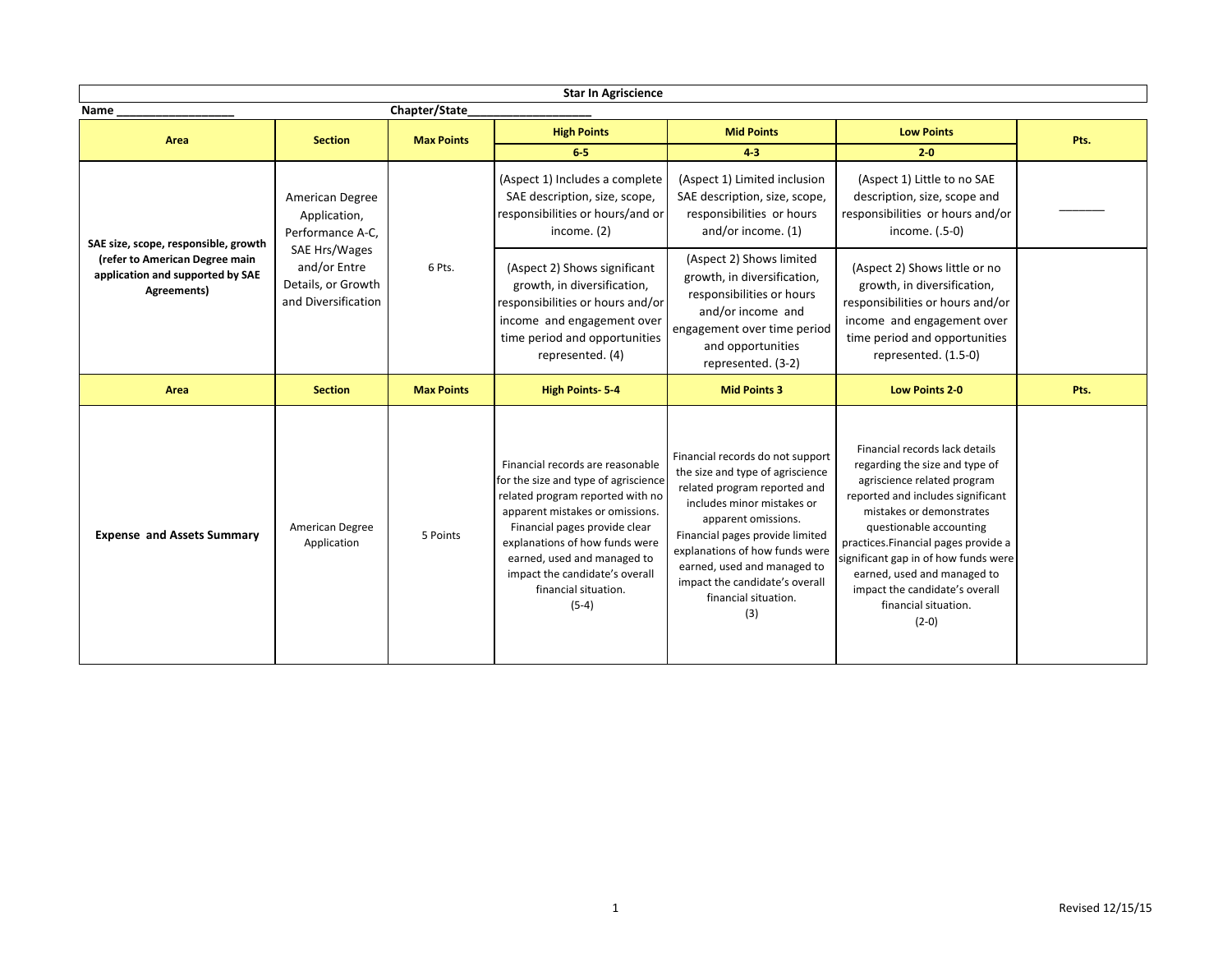| <b>Star In Agriscience</b>                                                                                                |                                                                                                                                   |                   |                                                                                                                                                                                                                                                                                                                        |                                                                                                                                                                                                                                                                                                                                |                                                                                                                                                                                                                                                                                                                                                                                 |      |
|---------------------------------------------------------------------------------------------------------------------------|-----------------------------------------------------------------------------------------------------------------------------------|-------------------|------------------------------------------------------------------------------------------------------------------------------------------------------------------------------------------------------------------------------------------------------------------------------------------------------------------------|--------------------------------------------------------------------------------------------------------------------------------------------------------------------------------------------------------------------------------------------------------------------------------------------------------------------------------|---------------------------------------------------------------------------------------------------------------------------------------------------------------------------------------------------------------------------------------------------------------------------------------------------------------------------------------------------------------------------------|------|
| Chapter/State<br>Name_                                                                                                    |                                                                                                                                   |                   |                                                                                                                                                                                                                                                                                                                        |                                                                                                                                                                                                                                                                                                                                |                                                                                                                                                                                                                                                                                                                                                                                 |      |
| Area                                                                                                                      | <b>Section</b>                                                                                                                    | <b>Max Points</b> | <b>High Points</b><br>$6-5$                                                                                                                                                                                                                                                                                            | <b>Mid Points</b><br>$4-3$                                                                                                                                                                                                                                                                                                     | <b>Low Points</b><br>$2 - 0$                                                                                                                                                                                                                                                                                                                                                    | Pts. |
| SAE size, scope, responsible, growth<br>(refer to American Degree main<br>application and supported by SAE<br>Agreements) | American Degree<br>Application,<br>Performance A-C,<br>SAE Hrs/Wages<br>and/or Entre<br>Details, or Growth<br>and Diversification | 6 Pts.            | (Aspect 1) Includes a complete<br>SAE description, size, scope,<br>responsibilities or hours/and or<br>income. $(2)$                                                                                                                                                                                                   | (Aspect 1) Limited inclusion<br>SAE description, size, scope,<br>responsibilities or hours<br>and/or income. (1)                                                                                                                                                                                                               | (Aspect 1) Little to no SAE<br>description, size, scope and<br>responsibilities or hours and/or<br>income. (.5-0)                                                                                                                                                                                                                                                               |      |
|                                                                                                                           |                                                                                                                                   |                   | (Aspect 2) Shows significant<br>growth, in diversification,<br>responsibilities or hours and/or<br>income and engagement over<br>time period and opportunities<br>represented. (4)                                                                                                                                     | (Aspect 2) Shows limited<br>growth, in diversification,<br>responsibilities or hours<br>and/or income and<br>engagement over time period<br>and opportunities<br>represented. (3-2)                                                                                                                                            | (Aspect 2) Shows little or no<br>growth, in diversification,<br>responsibilities or hours and/or<br>income and engagement over<br>time period and opportunities<br>represented. (1.5-0)                                                                                                                                                                                         |      |
| Area                                                                                                                      | <b>Section</b>                                                                                                                    | <b>Max Points</b> | <b>High Points-5-4</b>                                                                                                                                                                                                                                                                                                 | <b>Mid Points 3</b>                                                                                                                                                                                                                                                                                                            | <b>Low Points 2-0</b>                                                                                                                                                                                                                                                                                                                                                           | Pts. |
| <b>Expense and Assets Summary</b>                                                                                         | American Degree<br>Application                                                                                                    | 5 Points          | Financial records are reasonable<br>for the size and type of agriscience<br>related program reported with no<br>apparent mistakes or omissions.<br>Financial pages provide clear<br>explanations of how funds were<br>earned, used and managed to<br>impact the candidate's overall<br>financial situation.<br>$(5-4)$ | Financial records do not support<br>the size and type of agriscience<br>related program reported and<br>includes minor mistakes or<br>apparent omissions.<br>Financial pages provide limited<br>explanations of how funds were<br>earned, used and managed to<br>impact the candidate's overall<br>financial situation.<br>(3) | Financial records lack details<br>regarding the size and type of<br>agriscience related program<br>reported and includes significant<br>mistakes or demonstrates<br>questionable accounting<br>practices. Financial pages provide a<br>significant gap in of how funds were<br>earned, used and managed to<br>impact the candidate's overall<br>financial situation.<br>$(2-0)$ |      |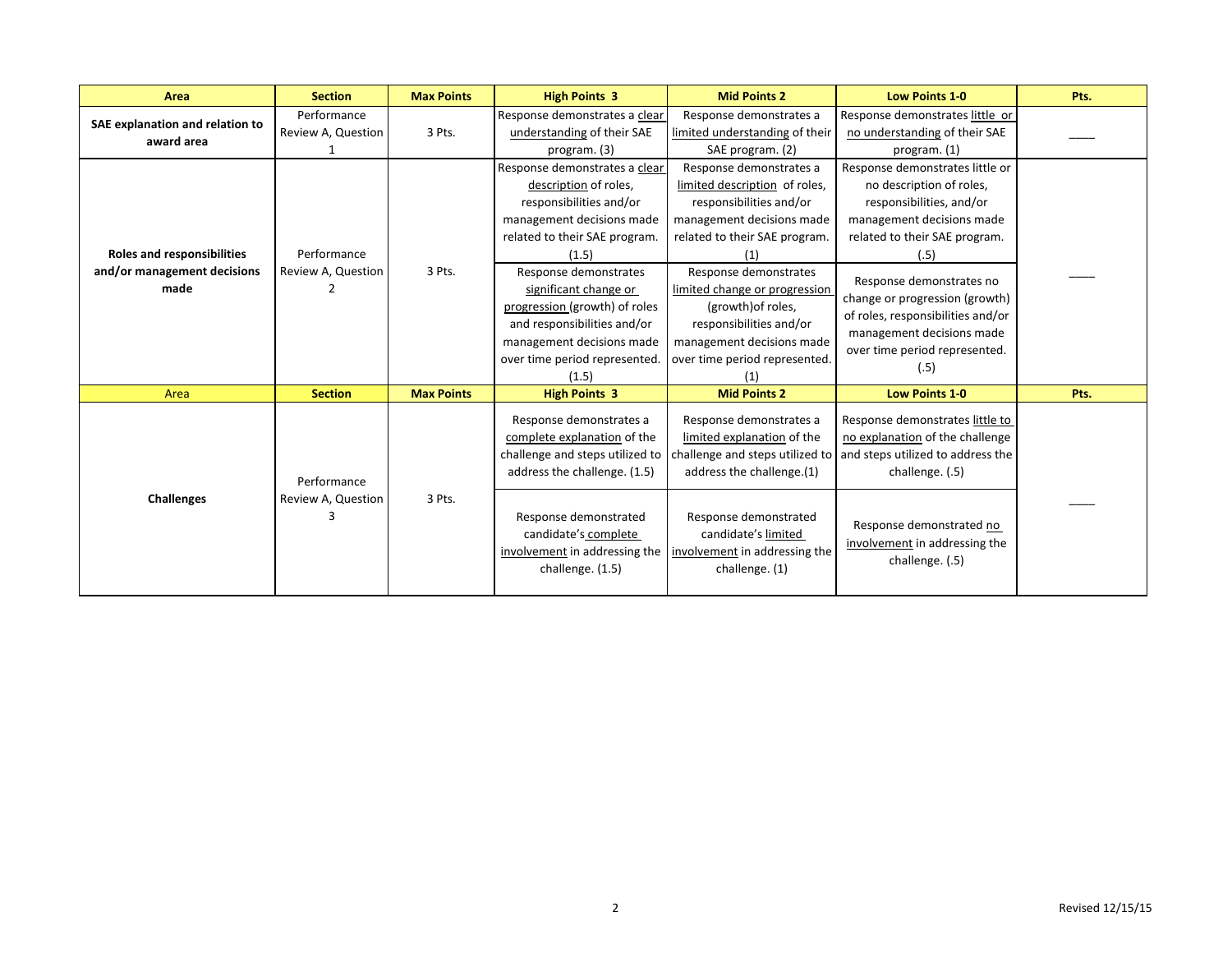| Area                                                                     | <b>Section</b>                    | <b>Max Points</b> | <b>High Points 3</b>                                                                                                                                                                                                                                                                                                                              | <b>Mid Points 2</b>                                                                                                                                                                                                                                                                                                               | <b>Low Points 1-0</b>                                                                                                                                                                                                                                                                                                                  | Pts. |
|--------------------------------------------------------------------------|-----------------------------------|-------------------|---------------------------------------------------------------------------------------------------------------------------------------------------------------------------------------------------------------------------------------------------------------------------------------------------------------------------------------------------|-----------------------------------------------------------------------------------------------------------------------------------------------------------------------------------------------------------------------------------------------------------------------------------------------------------------------------------|----------------------------------------------------------------------------------------------------------------------------------------------------------------------------------------------------------------------------------------------------------------------------------------------------------------------------------------|------|
| SAE explanation and relation to<br>award area                            | Performance<br>Review A, Question | 3 Pts.            | Response demonstrates a clear<br>understanding of their SAE<br>program. (3)                                                                                                                                                                                                                                                                       | Response demonstrates a<br>limited understanding of their<br>SAE program. (2)                                                                                                                                                                                                                                                     | Response demonstrates little or<br>no understanding of their SAE<br>program. $(1)$                                                                                                                                                                                                                                                     |      |
| <b>Roles and responsibilities</b><br>and/or management decisions<br>made | Performance<br>Review A, Question | 3 Pts.            | Response demonstrates a clear<br>description of roles,<br>responsibilities and/or<br>management decisions made<br>related to their SAE program.<br>(1.5)<br>Response demonstrates<br>significant change or<br>progression (growth) of roles<br>and responsibilities and/or<br>management decisions made<br>over time period represented.<br>(1.5) | Response demonstrates a<br>limited description of roles,<br>responsibilities and/or<br>management decisions made<br>related to their SAE program.<br>Response demonstrates<br>limited change or progression<br>(growth) of roles,<br>responsibilities and/or<br>management decisions made<br>over time period represented.<br>[1] | Response demonstrates little or<br>no description of roles,<br>responsibilities, and/or<br>management decisions made<br>related to their SAE program.<br>(.5)<br>Response demonstrates no<br>change or progression (growth)<br>of roles, responsibilities and/or<br>management decisions made<br>over time period represented.<br>(.5) |      |
| Area                                                                     | <b>Section</b>                    | <b>Max Points</b> | <b>High Points 3</b>                                                                                                                                                                                                                                                                                                                              | <b>Mid Points 2</b>                                                                                                                                                                                                                                                                                                               | <b>Low Points 1-0</b>                                                                                                                                                                                                                                                                                                                  | Pts. |
| <b>Challenges</b>                                                        | Performance<br>Review A, Question | 3 Pts.            | Response demonstrates a<br>complete explanation of the<br>challenge and steps utilized to<br>address the challenge. (1.5)<br>Response demonstrated<br>candidate's complete<br>involvement in addressing the<br>challenge. (1.5)                                                                                                                   | Response demonstrates a<br>limited explanation of the<br>challenge and steps utilized to<br>address the challenge.(1)<br>Response demonstrated<br>candidate's limited<br>involvement in addressing the<br>challenge. (1)                                                                                                          | Response demonstrates little to<br>no explanation of the challenge<br>and steps utilized to address the<br>challenge. (.5)<br>Response demonstrated no<br>involvement in addressing the<br>challenge. (.5)                                                                                                                             |      |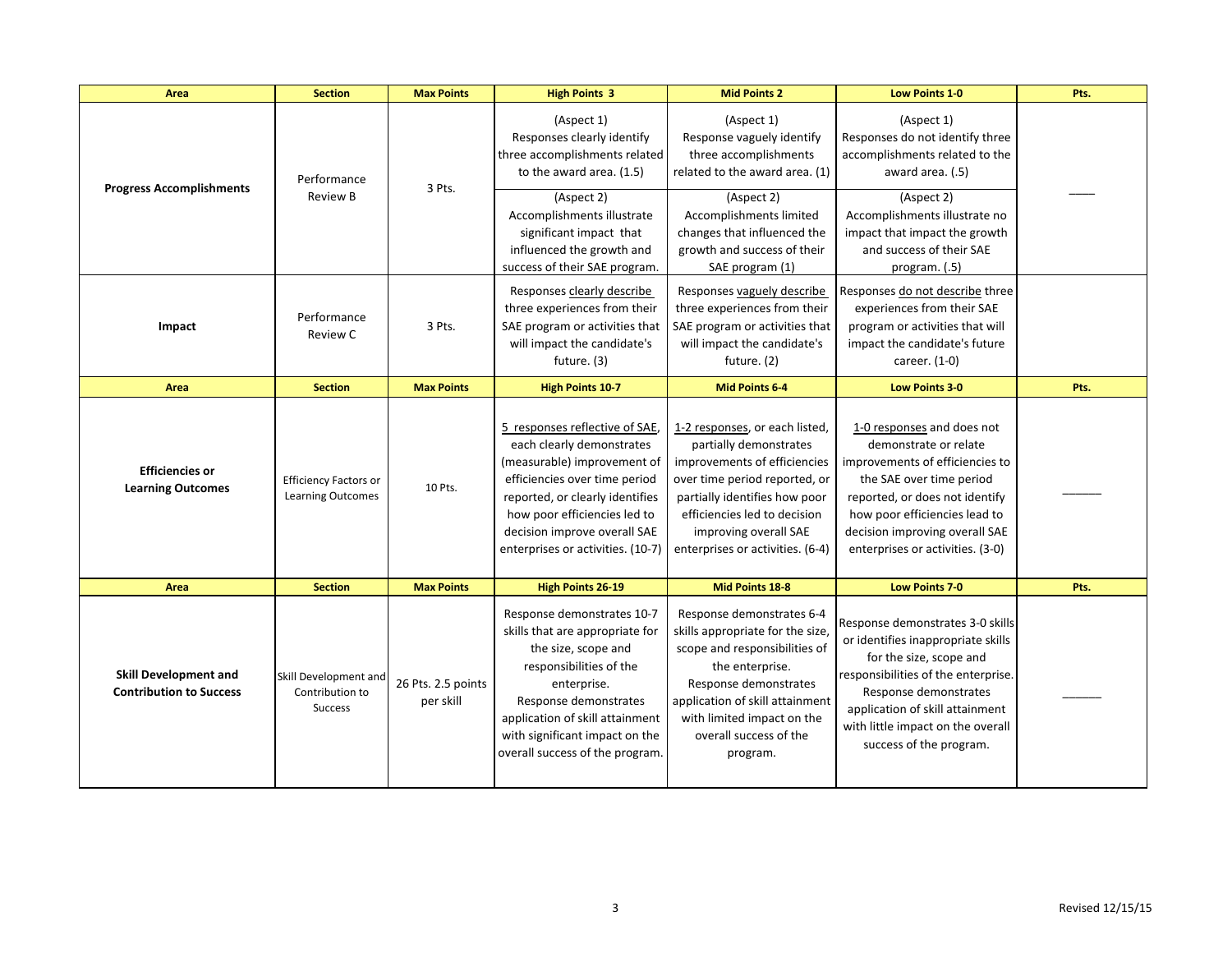| Area                                                           | <b>Section</b>                                             | <b>Max Points</b>               | <b>High Points 3</b>                                                                                                                                                                                                                                                | <b>Mid Points 2</b>                                                                                                                                                                                                                                     | <b>Low Points 1-0</b>                                                                                                                                                                                                                                                | Pts. |
|----------------------------------------------------------------|------------------------------------------------------------|---------------------------------|---------------------------------------------------------------------------------------------------------------------------------------------------------------------------------------------------------------------------------------------------------------------|---------------------------------------------------------------------------------------------------------------------------------------------------------------------------------------------------------------------------------------------------------|----------------------------------------------------------------------------------------------------------------------------------------------------------------------------------------------------------------------------------------------------------------------|------|
| <b>Progress Accomplishments</b>                                | Performance<br><b>Review B</b>                             | 3 Pts.                          | (Aspect 1)<br>Responses clearly identify<br>three accomplishments related<br>to the award area. (1.5)<br>(Aspect 2)<br>Accomplishments illustrate<br>significant impact that<br>influenced the growth and                                                           | (Aspect 1)<br>Response vaguely identify<br>three accomplishments<br>related to the award area. (1)<br>(Aspect 2)<br>Accomplishments limited<br>changes that influenced the<br>growth and success of their                                               | (Aspect 1)<br>Responses do not identify three<br>accomplishments related to the<br>award area. (.5)<br>(Aspect 2)<br>Accomplishments illustrate no<br>impact that impact the growth<br>and success of their SAE                                                      |      |
| Impact                                                         | Performance<br>Review C                                    | 3 Pts.                          | success of their SAE program.<br>Responses clearly describe<br>three experiences from their<br>SAE program or activities that<br>will impact the candidate's<br>future. (3)                                                                                         | SAE program (1)<br>Responses vaguely describe<br>three experiences from their<br>SAE program or activities that<br>will impact the candidate's<br>future. (2)                                                                                           | program. (.5)<br>Responses do not describe three<br>experiences from their SAE<br>program or activities that will<br>impact the candidate's future<br>career. (1-0)                                                                                                  |      |
| Area                                                           | <b>Section</b>                                             | <b>Max Points</b>               | <b>High Points 10-7</b>                                                                                                                                                                                                                                             | <b>Mid Points 6-4</b>                                                                                                                                                                                                                                   | <b>Low Points 3-0</b>                                                                                                                                                                                                                                                | Pts. |
| <b>Efficiencies or</b><br><b>Learning Outcomes</b>             | <b>Efficiency Factors or</b><br><b>Learning Outcomes</b>   | 10 Pts.                         | 5 responses reflective of SAE,<br>each clearly demonstrates<br>(measurable) improvement of<br>efficiencies over time period<br>reported, or clearly identifies<br>how poor efficiencies led to<br>decision improve overall SAE<br>enterprises or activities. (10-7) | 1-2 responses, or each listed,<br>partially demonstrates<br>improvements of efficiencies<br>over time period reported, or<br>partially identifies how poor<br>efficiencies led to decision<br>improving overall SAE<br>enterprises or activities. (6-4) | 1-0 responses and does not<br>demonstrate or relate<br>improvements of efficiencies to<br>the SAE over time period<br>reported, or does not identify<br>how poor efficiencies lead to<br>decision improving overall SAE<br>enterprises or activities. (3-0)          |      |
| Area                                                           | <b>Section</b>                                             | <b>Max Points</b>               | <b>High Points 26-19</b>                                                                                                                                                                                                                                            | Mid Points 18-8                                                                                                                                                                                                                                         | <b>Low Points 7-0</b>                                                                                                                                                                                                                                                | Pts. |
| <b>Skill Development and</b><br><b>Contribution to Success</b> | Skill Development and<br>Contribution to<br><b>Success</b> | 26 Pts. 2.5 points<br>per skill | Response demonstrates 10-7<br>skills that are appropriate for<br>the size, scope and<br>responsibilities of the<br>enterprise.<br>Response demonstrates<br>application of skill attainment<br>with significant impact on the<br>overall success of the program.     | Response demonstrates 6-4<br>skills appropriate for the size,<br>scope and responsibilities of<br>the enterprise.<br>Response demonstrates<br>application of skill attainment<br>with limited impact on the<br>overall success of the<br>program.       | Response demonstrates 3-0 skills<br>or identifies inappropriate skills<br>for the size, scope and<br>responsibilities of the enterprise.<br>Response demonstrates<br>application of skill attainment<br>with little impact on the overall<br>success of the program. |      |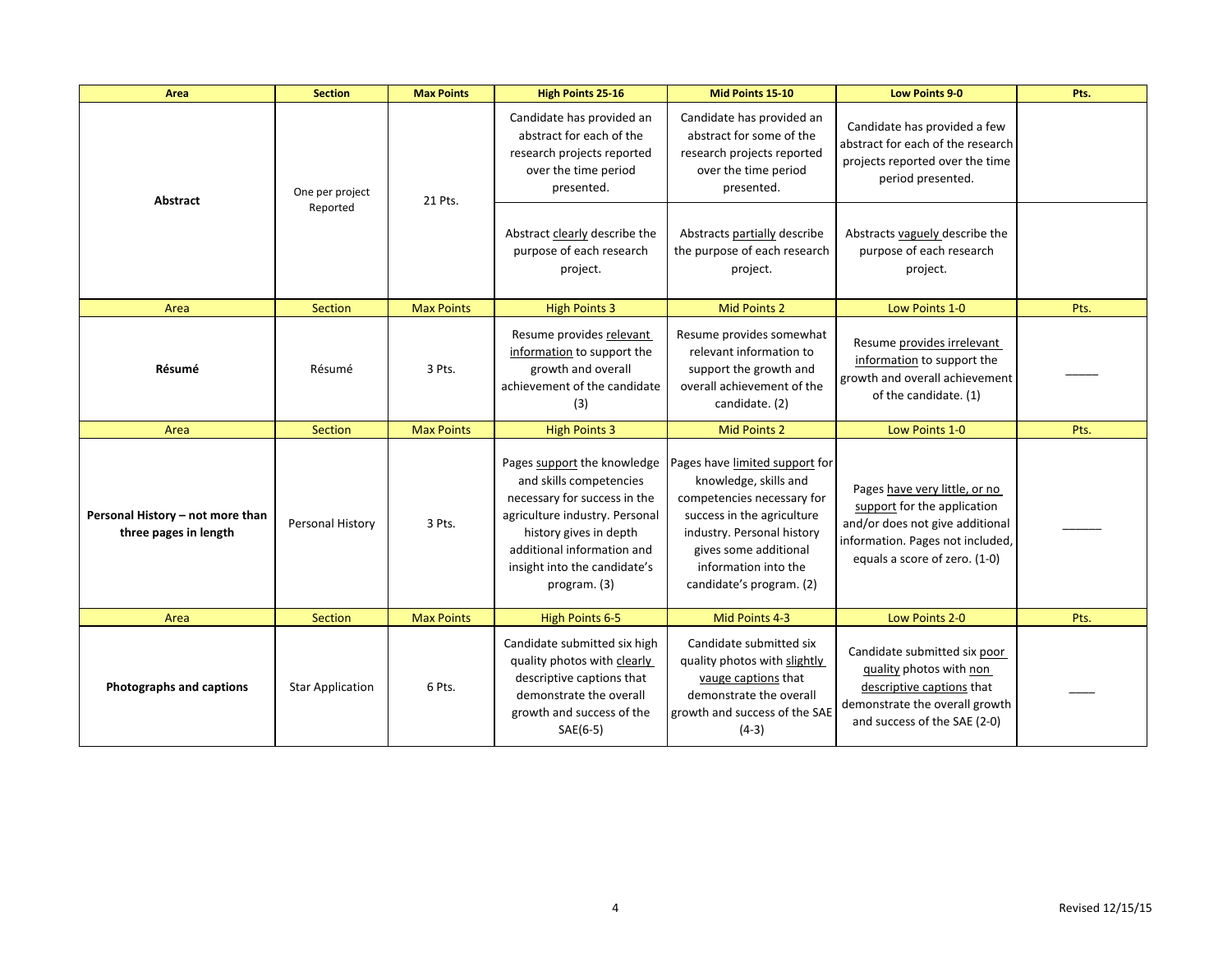| Area                                                      | <b>Section</b>              | <b>Max Points</b> | <b>High Points 25-16</b>                                                                                                                                                                                                         | Mid Points 15-10                                                                                                                                                                                                               | <b>Low Points 9-0</b>                                                                                                                                                | Pts. |
|-----------------------------------------------------------|-----------------------------|-------------------|----------------------------------------------------------------------------------------------------------------------------------------------------------------------------------------------------------------------------------|--------------------------------------------------------------------------------------------------------------------------------------------------------------------------------------------------------------------------------|----------------------------------------------------------------------------------------------------------------------------------------------------------------------|------|
| Abstract                                                  | One per project<br>Reported | 21 Pts.           | Candidate has provided an<br>abstract for each of the<br>research projects reported<br>over the time period<br>presented.                                                                                                        | Candidate has provided an<br>abstract for some of the<br>research projects reported<br>over the time period<br>presented.                                                                                                      | Candidate has provided a few<br>abstract for each of the research<br>projects reported over the time<br>period presented.                                            |      |
|                                                           |                             |                   | Abstract clearly describe the<br>purpose of each research<br>project.                                                                                                                                                            | Abstracts partially describe<br>the purpose of each research<br>project.                                                                                                                                                       | Abstracts vaguely describe the<br>purpose of each research<br>project.                                                                                               |      |
| Area                                                      | Section                     | <b>Max Points</b> | <b>High Points 3</b>                                                                                                                                                                                                             | <b>Mid Points 2</b>                                                                                                                                                                                                            | Low Points 1-0                                                                                                                                                       | Pts. |
| Résumé                                                    | Résumé                      | 3 Pts.            | Resume provides relevant<br>information to support the<br>growth and overall<br>achievement of the candidate<br>(3)                                                                                                              | Resume provides somewhat<br>relevant information to<br>support the growth and<br>overall achievement of the<br>candidate. (2)                                                                                                  | Resume provides irrelevant<br>information to support the<br>growth and overall achievement<br>of the candidate. (1)                                                  |      |
| Area                                                      | Section                     | <b>Max Points</b> | <b>High Points 3</b>                                                                                                                                                                                                             | <b>Mid Points 2</b>                                                                                                                                                                                                            | Low Points 1-0                                                                                                                                                       | Pts. |
| Personal History - not more than<br>three pages in length | Personal History            | 3 Pts.            | Pages support the knowledge<br>and skills competencies<br>necessary for success in the<br>agriculture industry. Personal<br>history gives in depth<br>additional information and<br>insight into the candidate's<br>program. (3) | Pages have limited support for<br>knowledge, skills and<br>competencies necessary for<br>success in the agriculture<br>industry. Personal history<br>gives some additional<br>information into the<br>candidate's program. (2) | Pages have very little, or no<br>support for the application<br>and/or does not give additional<br>information. Pages not included,<br>equals a score of zero. (1-0) |      |
| Area                                                      | Section                     | <b>Max Points</b> | <b>High Points 6-5</b>                                                                                                                                                                                                           | Mid Points 4-3                                                                                                                                                                                                                 | Low Points 2-0                                                                                                                                                       | Pts. |
| Photographs and captions                                  | <b>Star Application</b>     | 6 Pts.            | Candidate submitted six high<br>quality photos with clearly<br>descriptive captions that<br>demonstrate the overall<br>growth and success of the<br>$SAE(6-5)$                                                                   | Candidate submitted six<br>quality photos with slightly<br>vauge captions that<br>demonstrate the overall<br>growth and success of the SAE<br>$(4-3)$                                                                          | Candidate submitted six poor<br>quality photos with non<br>descriptive captions that<br>demonstrate the overall growth<br>and success of the SAE (2-0)               |      |